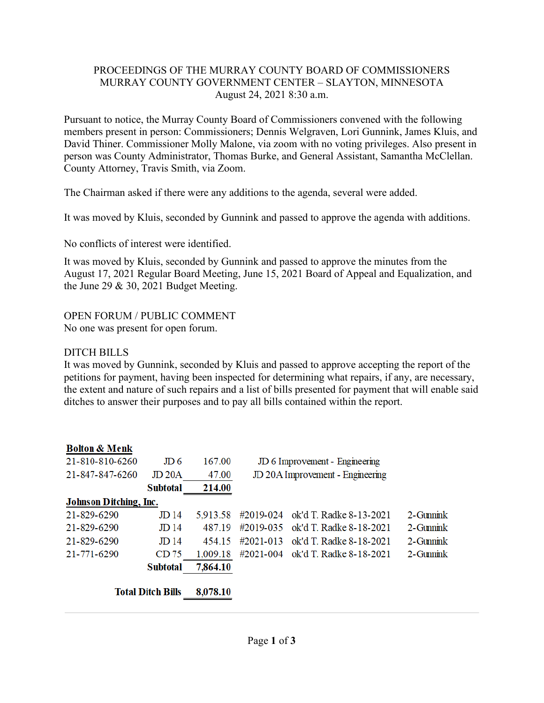## PROCEEDINGS OF THE MURRAY COUNTY BOARD OF COMMISSIONERS MURRAY COUNTY GOVERNMENT CENTER – SLAYTON, MINNESOTA August 24, 2021 8:30 a.m.

Pursuant to notice, the Murray County Board of Commissioners convened with the following members present in person: Commissioners; Dennis Welgraven, Lori Gunnink, James Kluis, and David Thiner. Commissioner Molly Malone, via zoom with no voting privileges. Also present in person was County Administrator, Thomas Burke, and General Assistant, Samantha McClellan. County Attorney, Travis Smith, via Zoom.

The Chairman asked if there were any additions to the agenda, several were added.

It was moved by Kluis, seconded by Gunnink and passed to approve the agenda with additions.

No conflicts of interest were identified.

It was moved by Kluis, seconded by Gunnink and passed to approve the minutes from the August 17, 2021 Regular Board Meeting, June 15, 2021 Board of Appeal and Equalization, and the June 29 & 30, 2021 Budget Meeting.

## OPEN FORUM / PUBLIC COMMENT

No one was present for open forum.

#### DITCH BILLS

It was moved by Gunnink, seconded by Kluis and passed to approve accepting the report of the petitions for payment, having been inspected for determining what repairs, if any, are necessary, the extent and nature of such repairs and a list of bills presented for payment that will enable said ditches to answer their purposes and to pay all bills contained within the report.

| <b>Bolton &amp; Menk</b><br>21-810-810-6260 | $J\!D$ 6                              | 167.00          | JD 6 Improvement - Engineering   |                         |                   |
|---------------------------------------------|---------------------------------------|-----------------|----------------------------------|-------------------------|-------------------|
| 21-847-847-6260                             | J <sub>D</sub> 20A<br><b>Subtotal</b> | 47.00<br>214.00 | JD 20A Improvement - Engineering |                         |                   |
| <b>Johnson Ditching, Inc.</b>               |                                       |                 |                                  |                         |                   |
| 21-829-6290                                 | JD <sub>14</sub>                      | 5,913.58        | #2019-024                        | ok'd T. Radke 8-13-2021 | $2 - G$ unnin $k$ |
| 21-829-6290                                 | $J\ddot{D}14$                         | 487 19          | #2019-035                        | ok'd T. Radke 8-18-2021 | 2-Gunnink         |
| 21-829-6290                                 | J <sub>D</sub> 14                     | 454.15          | $\#2021 - 013$                   | ok'd T. Radke 8-18-2021 | 2-Gunnink         |
| 21-771-6290                                 | CD75                                  | 1,009.18        | #2021-004                        | ok'd T. Radke 8-18-2021 | $2$ -Gunnin $k$   |
|                                             | <b>Subtotal</b>                       | 7,864.10        |                                  |                         |                   |
|                                             | <b>Total Ditch Bills</b>              | 8,078.10        |                                  |                         |                   |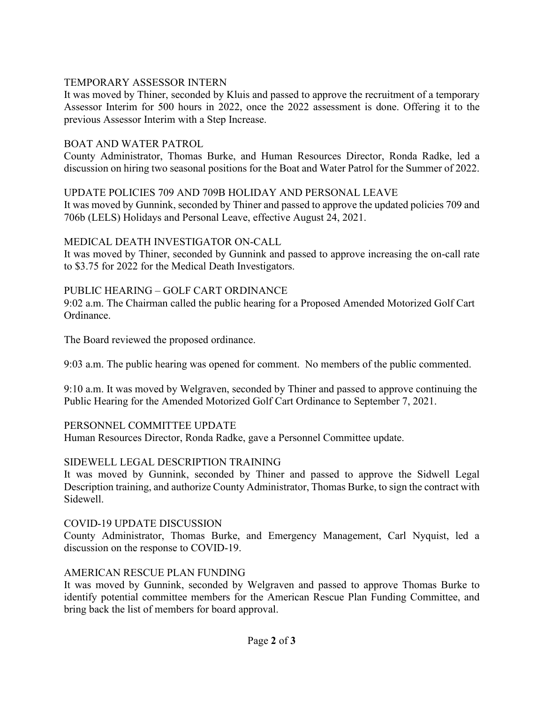# TEMPORARY ASSESSOR INTERN

It was moved by Thiner, seconded by Kluis and passed to approve the recruitment of a temporary Assessor Interim for 500 hours in 2022, once the 2022 assessment is done. Offering it to the previous Assessor Interim with a Step Increase.

#### BOAT AND WATER PATROL

County Administrator, Thomas Burke, and Human Resources Director, Ronda Radke, led a discussion on hiring two seasonal positions for the Boat and Water Patrol for the Summer of 2022.

#### UPDATE POLICIES 709 AND 709B HOLIDAY AND PERSONAL LEAVE

It was moved by Gunnink, seconded by Thiner and passed to approve the updated policies 709 and 706b (LELS) Holidays and Personal Leave, effective August 24, 2021.

#### MEDICAL DEATH INVESTIGATOR ON-CALL

It was moved by Thiner, seconded by Gunnink and passed to approve increasing the on-call rate to \$3.75 for 2022 for the Medical Death Investigators.

## PUBLIC HEARING – GOLF CART ORDINANCE

9:02 a.m. The Chairman called the public hearing for a Proposed Amended Motorized Golf Cart Ordinance.

The Board reviewed the proposed ordinance.

9:03 a.m. The public hearing was opened for comment. No members of the public commented.

9:10 a.m. It was moved by Welgraven, seconded by Thiner and passed to approve continuing the Public Hearing for the Amended Motorized Golf Cart Ordinance to September 7, 2021.

## PERSONNEL COMMITTEE UPDATE

Human Resources Director, Ronda Radke, gave a Personnel Committee update.

## SIDEWELL LEGAL DESCRIPTION TRAINING

It was moved by Gunnink, seconded by Thiner and passed to approve the Sidwell Legal Description training, and authorize County Administrator, Thomas Burke, to sign the contract with Sidewell.

## COVID-19 UPDATE DISCUSSION

County Administrator, Thomas Burke, and Emergency Management, Carl Nyquist, led a discussion on the response to COVID-19.

## AMERICAN RESCUE PLAN FUNDING

It was moved by Gunnink, seconded by Welgraven and passed to approve Thomas Burke to identify potential committee members for the American Rescue Plan Funding Committee, and bring back the list of members for board approval.